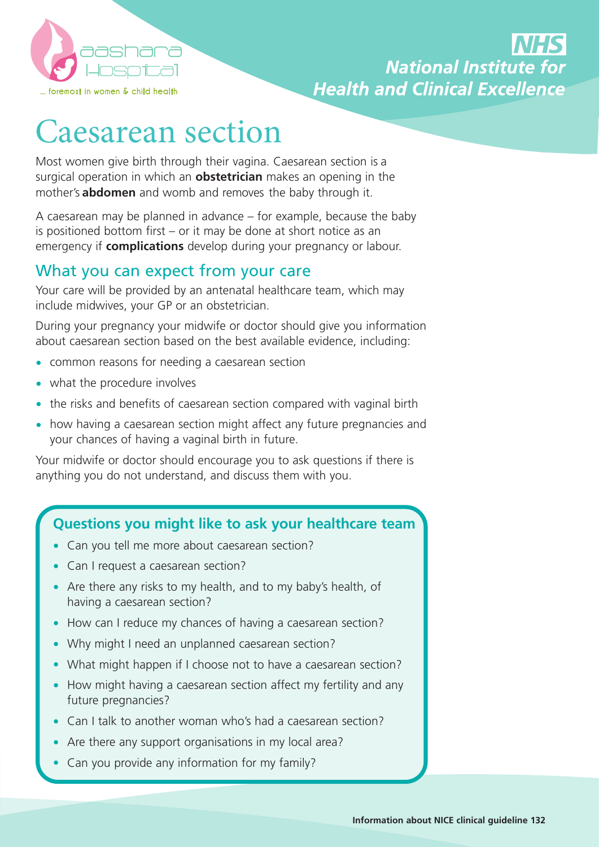

# **National Institute for Health and Clinical Excellence**

# aesarean section

Most women give birth through their vagina. Caesarean section is a surgical operation in which an **obstetrician** makes an opening in the mother's **abdomen** and womb and removes the baby through it.

A caesarean may be planned in advance – for example, because the baby is positioned bottom first – or it may be done at short notice as an emergency if **complications** develop during your pregnancy or labour.

## What you can expect from your care

Your care will be provided by an antenatal healthcare team, which may include midwives, your GP or an obstetrician.

During your pregnancy your midwife or doctor should give you information about caesarean section based on the best available evidence, including:

- common reasons for needing a caesarean section
- what the procedure involves
- the risks and benefits of caesarean section compared with vaginal birth
- how having a caesarean section might affect any future pregnancies and your chances of having a vaginal birth in future.

Your midwife or doctor should encourage you to ask questions if there is anything you do not understand, and discuss them with you.



- Can you tell me more about caesarean section?
- Can I request a caesarean section?
- Are there any risks to my health, and to my baby's health, of having a caesarean section?
- How can I reduce my chances of having a caesarean section?
- Why might I need an unplanned caesarean section?
- What might happen if I choose not to have a caesarean section?
- How might having a caesarean section affect my fertility and any future pregnancies?
- Can I talk to another woman who's had a caesarean section?
- Are there any support organisations in my local area?
- Can you provide any information for my family?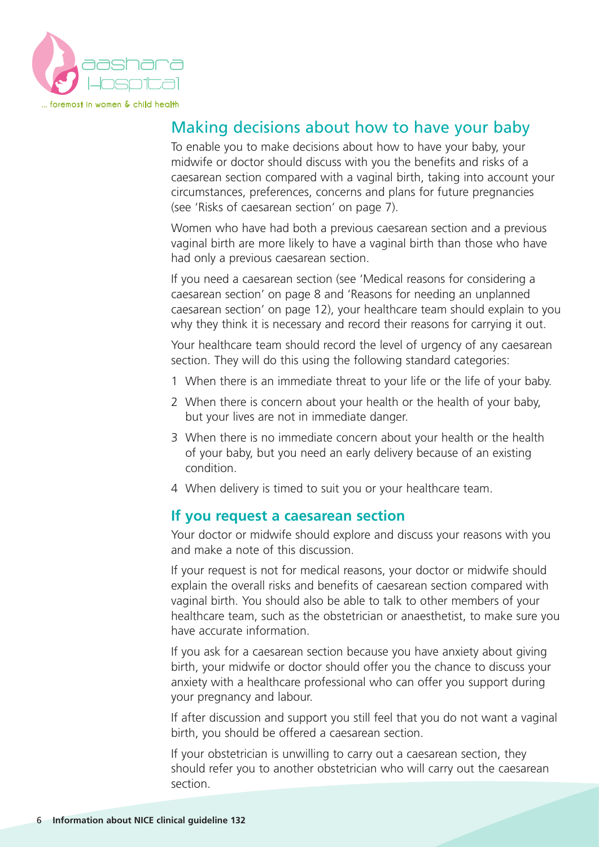

# Making decisions about how to have your baby

To enable you to make decisions about how to have your baby, your midwife or doctor should discuss with you the benefits and risks of a caesarean section compared with a vaginal birth, taking into account your circumstances, preferences, concerns and plans for future pregnancies (see 'Risks of caesarean section' on page 7).

Women who have had both a previous caesarean section and a previous vaginal birth are more likely to have a vaginal birth than those who have had only a previous caesarean section.

If you need a caesarean section (see 'Medical reasons for considering a caesarean section' on page 8 and 'Reasons for needing an unplanned caesarean section' on page 12), your healthcare team should explain to you why they think it is necessary and record their reasons for carrying it out.

Your healthcare team should record the level of urgency of any caesarean section. They will do this using the following standard categories:

- 1 When there is an immediate threat to your life or the life of your baby.
- 2 When there is concern about your health or the health of your baby, but your lives are not in immediate danger.
- 3 When there is no immediate concern about your health or the health of your baby, but you need an early delivery because of an existing condition.
- 4 When delivery is timed to suit you or your healthcare team.

#### **If you request a caesarean section**

Your doctor or midwife should explore and discuss your reasons with you and make a note of this discussion.

If your request is not for medical reasons, your doctor or midwife should explain the overall risks and benefits of caesarean section compared with vaginal birth. You should also be able to talk to other members of your healthcare team, such as the obstetrician or anaesthetist, to make sure you have accurate information.

If you ask for a caesarean section because you have anxiety about giving birth, your midwife or doctor should offer you the chance to discuss your anxiety with a healthcare professional who can offer you support during your pregnancy and labour.

If after discussion and support you still feel that you do not want a vaginal birth, you should be offered a caesarean section.

If your obstetrician is unwilling to carry out a caesarean section, they should refer you to another obstetrician who will carry out the caesarean section.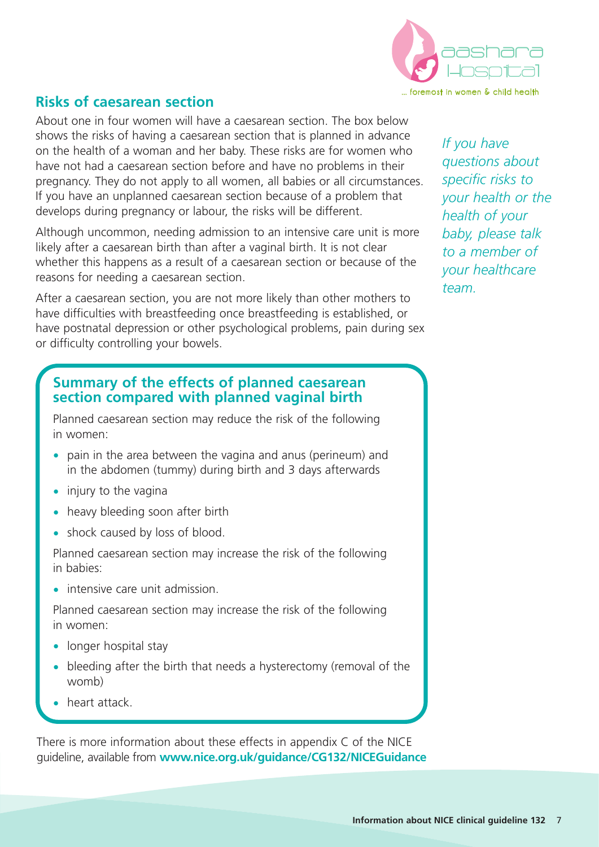

#### **Risks of caesarean section**

About one in four women will have a caesarean section. The box below shows the risks of having a caesarean section that is planned in advance on the health of a woman and her baby. These risks are for women who have not had a caesarean section before and have no problems in their pregnancy. They do not apply to all women, all babies or all circumstances. If you have an unplanned caesarean section because of a problem that develops during pregnancy or labour, the risks will be different.

Although uncommon, needing admission to an intensive care unit is more likely after a caesarean birth than after a vaginal birth. It is not clear whether this happens as a result of a caesarean section or because of the reasons for needing a caesarean section.

After a caesarean section, you are not more likely than other mothers to have difficulties with breastfeeding once breastfeeding is established, or have postnatal depression or other psychological problems, pain during sex or difficulty controlling your bowels.

#### **Summary of the effects of planned caesarean section compared with planned vaginal birth**

Planned caesarean section may reduce the risk of the following in women:

- pain in the area between the vagina and anus (perineum) and in the abdomen (tummy) during birth and 3 days afterwards
- injury to the vagina
- heavy bleeding soon after birth
- shock caused by loss of blood.

Planned caesarean section may increase the risk of the following in babies:

• intensive care unit admission.

Planned caesarean section may increase the risk of the following in women:

- longer hospital stay
- bleeding after the birth that needs a hysterectomy (removal of the womb)
- heart attack.

There is more information about these effects in appendix C of the NICE guideline, available from **www.nice.org.uk/guidance/CG132/NICEGuidance** *If you have questions about specific risks to your health or the health of your baby, please talk to a member of your healthcare team.*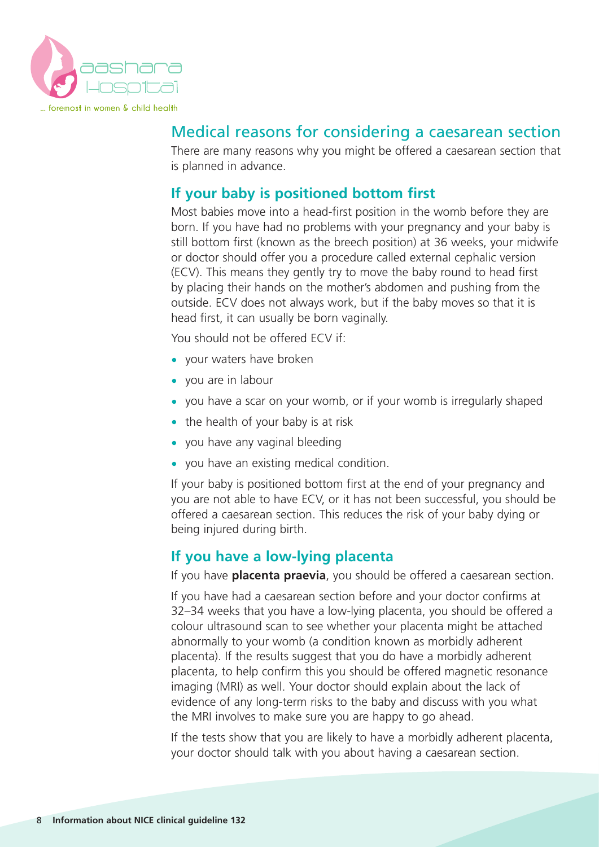

# Medical reasons for considering a caesarean section

There are many reasons why you might be offered a caesarean section that is planned in advance.

#### **If your baby is positioned bottom first**

Most babies move into a head-first position in the womb before they are born. If you have had no problems with your pregnancy and your baby is still bottom first (known as the breech position) at 36 weeks, your midwife or doctor should offer you a procedure called external cephalic version (ECV). This means they gently try to move the baby round to head first by placing their hands on the mother's abdomen and pushing from the outside. ECV does not always work, but if the baby moves so that it is head first, it can usually be born vaginally.

You should not be offered ECV if:

- your waters have broken
- you are in labour
- you have a scar on your womb, or if your womb is irregularly shaped
- the health of your baby is at risk
- you have any vaginal bleeding
- you have an existing medical condition.

If your baby is positioned bottom first at the end of your pregnancy and you are not able to have ECV, or it has not been successful, you should be offered a caesarean section. This reduces the risk of your baby dying or being injured during birth.

#### **If you have a low-lying placenta**

If you have **placenta praevia**, you should be offered a caesarean section.

If you have had a caesarean section before and your doctor confirms at 32–34 weeks that you have a low-lying placenta, you should be offered a colour ultrasound scan to see whether your placenta might be attached abnormally to your womb (a condition known as morbidly adherent placenta). If the results suggest that you do have a morbidly adherent placenta, to help confirm this you should be offered magnetic resonance imaging (MRI) as well. Your doctor should explain about the lack of evidence of any long-term risks to the baby and discuss with you what the MRI involves to make sure you are happy to go ahead.

If the tests show that you are likely to have a morbidly adherent placenta, your doctor should talk with you about having a caesarean section.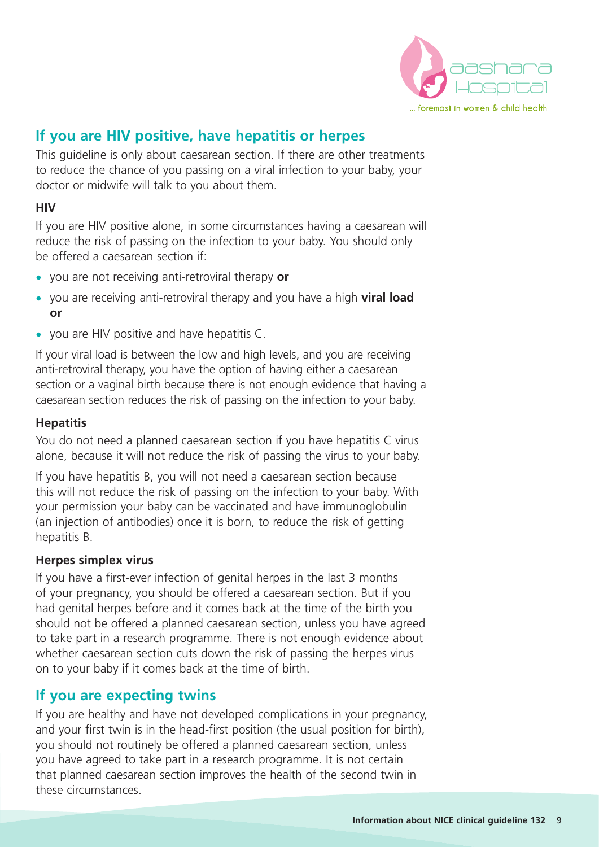

## **If you are HIV positive, have hepatitis or herpes**

This guideline is only about caesarean section. If there are other treatments to reduce the chance of you passing on a viral infection to your baby, your doctor or midwife will talk to you about them.

#### **HIV**

If you are HIV positive alone, in some circumstances having a caesarean will reduce the risk of passing on the infection to your baby. You should only be offered a caesarean section if:

- you are not receiving anti-retroviral therapy **or**
- you are receiving anti-retroviral therapy and you have a high **viral load or**
- you are HIV positive and have hepatitis C.

If your viral load is between the low and high levels, and you are receiving anti-retroviral therapy, you have the option of having either a caesarean section or a vaginal birth because there is not enough evidence that having a caesarean section reduces the risk of passing on the infection to your baby.

#### **Hepatitis**

You do not need a planned caesarean section if you have hepatitis C virus alone, because it will not reduce the risk of passing the virus to your baby.

If you have hepatitis B, you will not need a caesarean section because this will not reduce the risk of passing on the infection to your baby. With your permission your baby can be vaccinated and have immunoglobulin (an injection of antibodies) once it is born, to reduce the risk of getting hepatitis B.

#### **Herpes simplex virus**

If you have a first-ever infection of genital herpes in the last 3 months of your pregnancy, you should be offered a caesarean section. But if you had genital herpes before and it comes back at the time of the birth you should not be offered a planned caesarean section, unless you have agreed to take part in a research programme. There is not enough evidence about whether caesarean section cuts down the risk of passing the herpes virus on to your baby if it comes back at the time of birth.

#### **If you are expecting twins**

If you are healthy and have not developed complications in your pregnancy, and your first twin is in the head-first position (the usual position for birth), you should not routinely be offered a planned caesarean section, unless you have agreed to take part in a research programme. It is not certain that planned caesarean section improves the health of the second twin in these circumstances.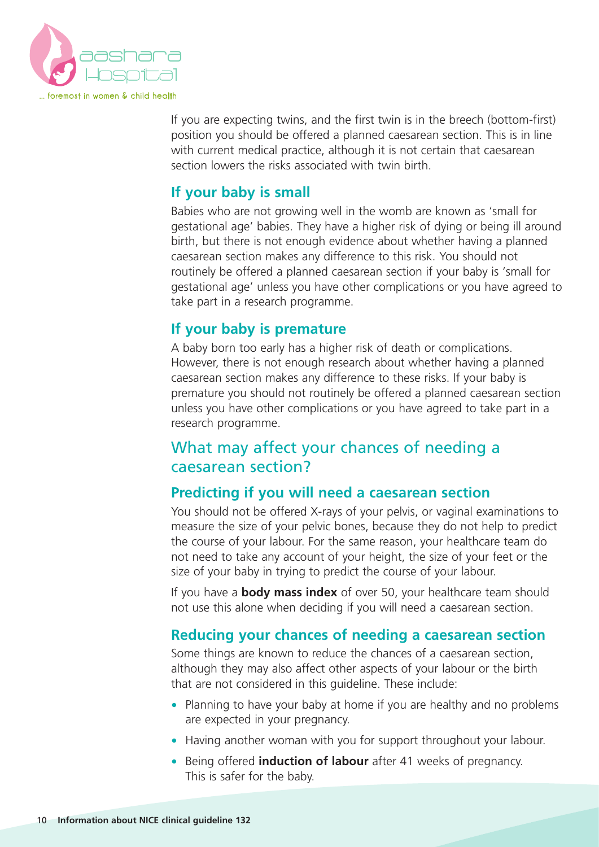

If you are expecting twins, and the first twin is in the breech (bottom-first) position you should be offered a planned caesarean section. This is in line with current medical practice, although it is not certain that caesarean section lowers the risks associated with twin birth.

#### **If your baby is small**

Babies who are not growing well in the womb are known as 'small for gestational age' babies. They have a higher risk of dying or being ill around birth, but there is not enough evidence about whether having a planned caesarean section makes any difference to this risk. You should not routinely be offered a planned caesarean section if your baby is 'small for gestational age' unless you have other complications or you have agreed to take part in a research programme.

#### **If your baby is premature**

A baby born too early has a higher risk of death or complications. However, there is not enough research about whether having a planned caesarean section makes any difference to these risks. If your baby is premature you should not routinely be offered a planned caesarean section unless you have other complications or you have agreed to take part in a research programme.

# What may affect your chances of needing a caesarean section?

#### **Predicting if you will need a caesarean section**

You should not be offered X-rays of your pelvis, or vaginal examinations to measure the size of your pelvic bones, because they do not help to predict the course of your labour. For the same reason, your healthcare team do not need to take any account of your height, the size of your feet or the size of your baby in trying to predict the course of your labour.

If you have a **body mass index** of over 50, your healthcare team should not use this alone when deciding if you will need a caesarean section.

#### **Reducing your chances of needing a caesarean section**

Some things are known to reduce the chances of a caesarean section, although they may also affect other aspects of your labour or the birth that are not considered in this guideline. These include:

- Planning to have your baby at home if you are healthy and no problems are expected in your pregnancy.
- Having another woman with you for support throughout your labour.
- Being offered **induction of labour** after 41 weeks of pregnancy. This is safer for the baby.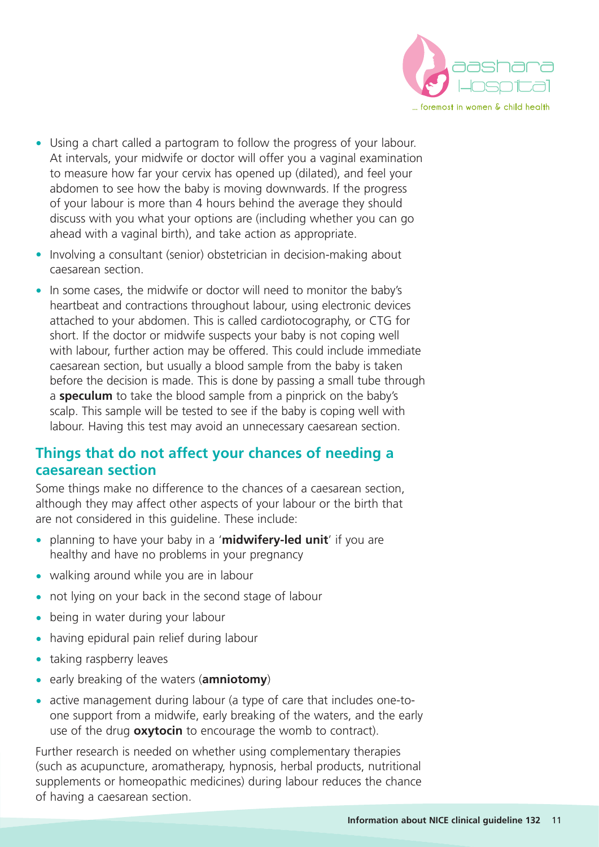

- Using a chart called a partogram to follow the progress of your labour. At intervals, your midwife or doctor will offer you a vaginal examination to measure how far your cervix has opened up (dilated), and feel your abdomen to see how the baby is moving downwards. If the progress of your labour is more than 4 hours behind the average they should discuss with you what your options are (including whether you can go ahead with a vaginal birth), and take action as appropriate.
- Involving a consultant (senior) obstetrician in decision-making about caesarean section.
- In some cases, the midwife or doctor will need to monitor the baby's heartbeat and contractions throughout labour, using electronic devices attached to your abdomen. This is called cardiotocography, or CTG for short. If the doctor or midwife suspects your baby is not coping well with labour, further action may be offered. This could include immediate caesarean section, but usually a blood sample from the baby is taken before the decision is made. This is done by passing a small tube through a **speculum** to take the blood sample from a pinprick on the baby's scalp. This sample will be tested to see if the baby is coping well with labour. Having this test may avoid an unnecessary caesarean section.

#### **Things that do not affect your chances of needing a caesarean section**

Some things make no difference to the chances of a caesarean section, although they may affect other aspects of your labour or the birth that are not considered in this guideline. These include:

- planning to have your baby in a '**midwifery-led unit**' if you are healthy and have no problems in your pregnancy
- walking around while you are in labour
- not lying on your back in the second stage of labour
- being in water during your labour
- having epidural pain relief during labour
- taking raspberry leaves
- early breaking of the waters (**amniotomy**)
- active management during labour (a type of care that includes one-toone support from a midwife, early breaking of the waters, and the early use of the drug **oxytocin** to encourage the womb to contract).

Further research is needed on whether using complementary therapies (such as acupuncture, aromatherapy, hypnosis, herbal products, nutritional supplements or homeopathic medicines) during labour reduces the chance of having a caesarean section.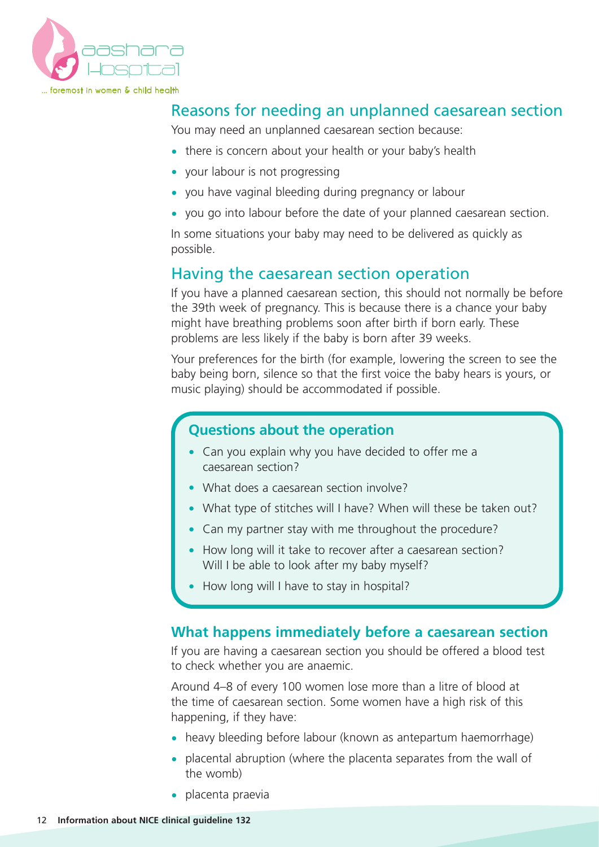

## Reasons for needing an unplanned caesarean section

You may need an unplanned caesarean section because:

- there is concern about your health or your baby's health
- your labour is not progressing
- you have vaginal bleeding during pregnancy or labour
- you go into labour before the date of your planned caesarean section.

In some situations your baby may need to be delivered as quickly as possible.

## Having the caesarean section operation

If you have a planned caesarean section, this should not normally be before the 39th week of pregnancy. This is because there is a chance your baby might have breathing problems soon after birth if born early. These problems are less likely if the baby is born after 39 weeks.

Your preferences for the birth (for example, lowering the screen to see the baby being born, silence so that the first voice the baby hears is yours, or music playing) should be accommodated if possible.

#### **Questions about the operation**

- Can you explain why you have decided to offer me a caesarean section?
- What does a caesarean section involve?
- What type of stitches will I have? When will these be taken out?
- Can my partner stay with me throughout the procedure?
- How long will it take to recover after a caesarean section? Will I be able to look after my baby myself?
- How long will I have to stay in hospital?

#### **What happens immediately before a caesarean section**

If you are having a caesarean section you should be offered a blood test to check whether you are anaemic.

Around 4–8 of every 100 women lose more than a litre of blood at the time of caesarean section. Some women have a high risk of this happening, if they have:

- heavy bleeding before labour (known as antepartum haemorrhage)
- placental abruption (where the placenta separates from the wall of the womb)
- placenta praevia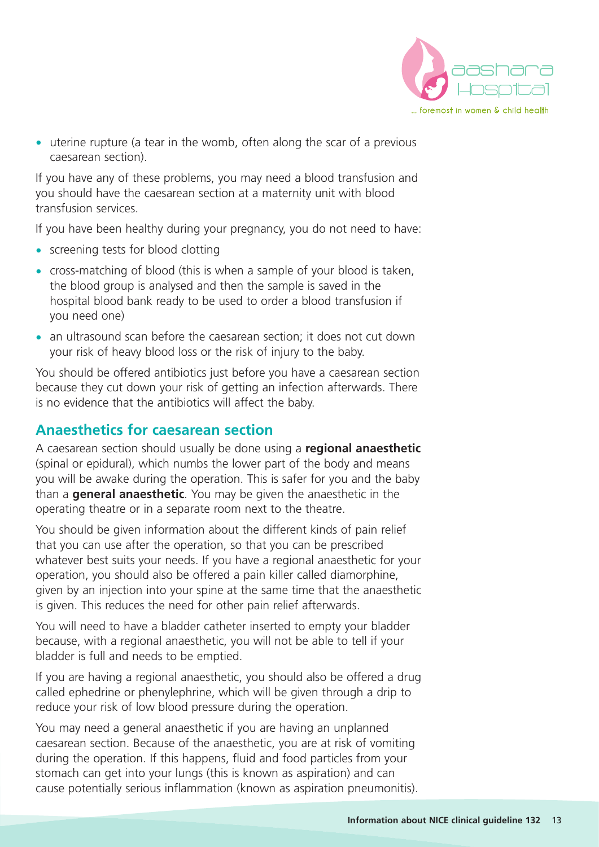

• uterine rupture (a tear in the womb, often along the scar of a previous caesarean section).

If you have any of these problems, you may need a blood transfusion and you should have the caesarean section at a maternity unit with blood transfusion services.

If you have been healthy during your pregnancy, you do not need to have:

- screening tests for blood clotting
- cross-matching of blood (this is when a sample of your blood is taken, the blood group is analysed and then the sample is saved in the hospital blood bank ready to be used to order a blood transfusion if you need one)
- an ultrasound scan before the caesarean section; it does not cut down your risk of heavy blood loss or the risk of injury to the baby.

You should be offered antibiotics just before you have a caesarean section because they cut down your risk of getting an infection afterwards. There is no evidence that the antibiotics will affect the baby.

#### **Anaesthetics for caesarean section**

A caesarean section should usually be done using a **regional anaesthetic** (spinal or epidural), which numbs the lower part of the body and means you will be awake during the operation. This is safer for you and the baby than a **general anaesthetic**. You may be given the anaesthetic in the operating theatre or in a separate room next to the theatre.

You should be given information about the different kinds of pain relief that you can use after the operation, so that you can be prescribed whatever best suits your needs. If you have a regional anaesthetic for your operation, you should also be offered a pain killer called diamorphine, given by an injection into your spine at the same time that the anaesthetic is given. This reduces the need for other pain relief afterwards.

You will need to have a bladder catheter inserted to empty your bladder because, with a regional anaesthetic, you will not be able to tell if your bladder is full and needs to be emptied.

If you are having a regional anaesthetic, you should also be offered a drug called ephedrine or phenylephrine, which will be given through a drip to reduce your risk of low blood pressure during the operation.

You may need a general anaesthetic if you are having an unplanned caesarean section. Because of the anaesthetic, you are at risk of vomiting during the operation. If this happens, fluid and food particles from your stomach can get into your lungs (this is known as aspiration) and can cause potentially serious inflammation (known as aspiration pneumonitis).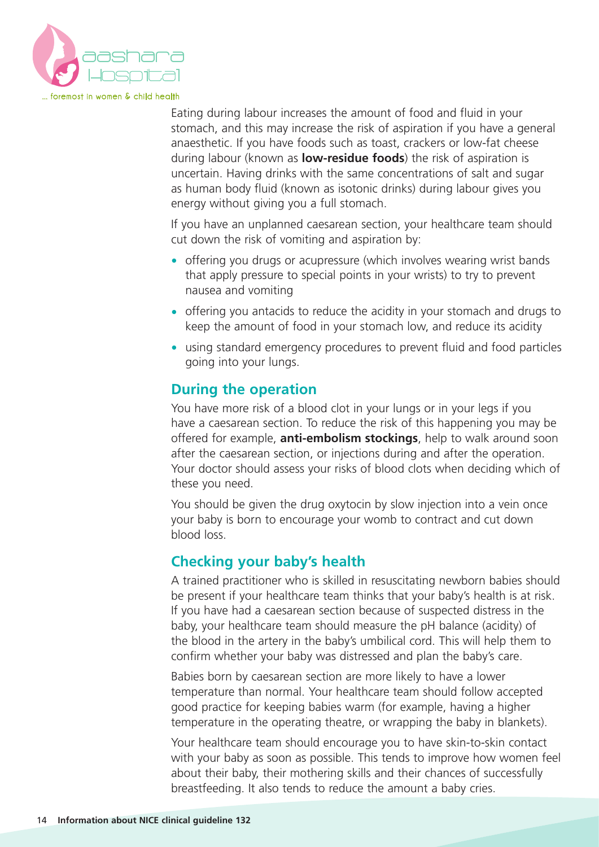

Eating during labour increases the amount of food and fluid in your stomach, and this may increase the risk of aspiration if you have a general anaesthetic. If you have foods such as toast, crackers or low-fat cheese during labour (known as **low-residue foods**) the risk of aspiration is uncertain. Having drinks with the same concentrations of salt and sugar as human body fluid (known as isotonic drinks) during labour gives you energy without giving you a full stomach.

If you have an unplanned caesarean section, your healthcare team should cut down the risk of vomiting and aspiration by:

- offering you drugs or acupressure (which involves wearing wrist bands that apply pressure to special points in your wrists) to try to prevent nausea and vomiting
- offering you antacids to reduce the acidity in your stomach and drugs to keep the amount of food in your stomach low, and reduce its acidity
- using standard emergency procedures to prevent fluid and food particles going into your lungs.

#### **During the operation**

You have more risk of a blood clot in your lungs or in your legs if you have a caesarean section. To reduce the risk of this happening you may be offered for example, **anti-embolism stockings**, help to walk around soon after the caesarean section, or injections during and after the operation. Your doctor should assess your risks of blood clots when deciding which of these you need.

You should be given the drug oxytocin by slow injection into a vein once your baby is born to encourage your womb to contract and cut down blood loss.

#### **Checking your baby's health**

A trained practitioner who is skilled in resuscitating newborn babies should be present if your healthcare team thinks that your baby's health is at risk. If you have had a caesarean section because of suspected distress in the baby, your healthcare team should measure the pH balance (acidity) of the blood in the artery in the baby's umbilical cord. This will help them to confirm whether your baby was distressed and plan the baby's care.

Babies born by caesarean section are more likely to have a lower temperature than normal. Your healthcare team should follow accepted good practice for keeping babies warm (for example, having a higher temperature in the operating theatre, or wrapping the baby in blankets).

Your healthcare team should encourage you to have skin-to-skin contact with your baby as soon as possible. This tends to improve how women feel about their baby, their mothering skills and their chances of successfully breastfeeding. It also tends to reduce the amount a baby cries.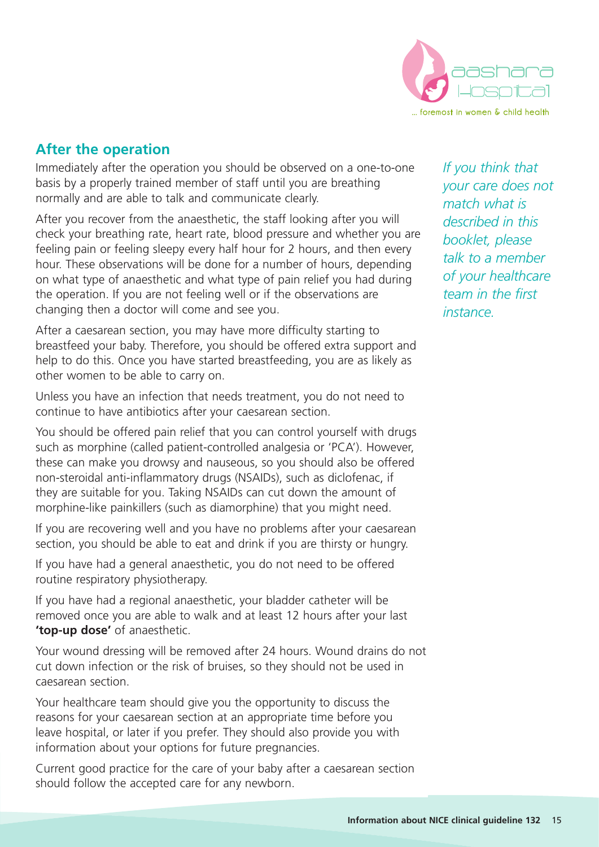

### **After the operation**

Immediately after the operation you should be observed on a one-to-one basis by a properly trained member of staff until you are breathing normally and are able to talk and communicate clearly.

After you recover from the anaesthetic, the staff looking after you will check your breathing rate, heart rate, blood pressure and whether you are feeling pain or feeling sleepy every half hour for 2 hours, and then every hour. These observations will be done for a number of hours, depending on what type of anaesthetic and what type of pain relief you had during the operation. If you are not feeling well or if the observations are changing then a doctor will come and see you.

After a caesarean section, you may have more difficulty starting to breastfeed your baby. Therefore, you should be offered extra support and help to do this. Once you have started breastfeeding, you are as likely as other women to be able to carry on.

Unless you have an infection that needs treatment, you do not need to continue to have antibiotics after your caesarean section.

You should be offered pain relief that you can control yourself with drugs such as morphine (called patient-controlled analgesia or 'PCA'). However, these can make you drowsy and nauseous, so you should also be offered non-steroidal anti-inflammatory drugs (NSAIDs), such as diclofenac, if they are suitable for you. Taking NSAIDs can cut down the amount of morphine-like painkillers (such as diamorphine) that you might need.

If you are recovering well and you have no problems after your caesarean section, you should be able to eat and drink if you are thirsty or hungry.

If you have had a general anaesthetic, you do not need to be offered routine respiratory physiotherapy.

If you have had a regional anaesthetic, your bladder catheter will be removed once you are able to walk and at least 12 hours after your last **'top-up dose'** of anaesthetic.

Your wound dressing will be removed after 24 hours. Wound drains do not cut down infection or the risk of bruises, so they should not be used in caesarean section.

Your healthcare team should give you the opportunity to discuss the reasons for your caesarean section at an appropriate time before you leave hospital, or later if you prefer. They should also provide you with information about your options for future pregnancies.

Current good practice for the care of your baby after a caesarean section should follow the accepted care for any newborn.

*If you think that your care does not match what is described in this booklet, please talk to a member of your healthcare team in the first instance.*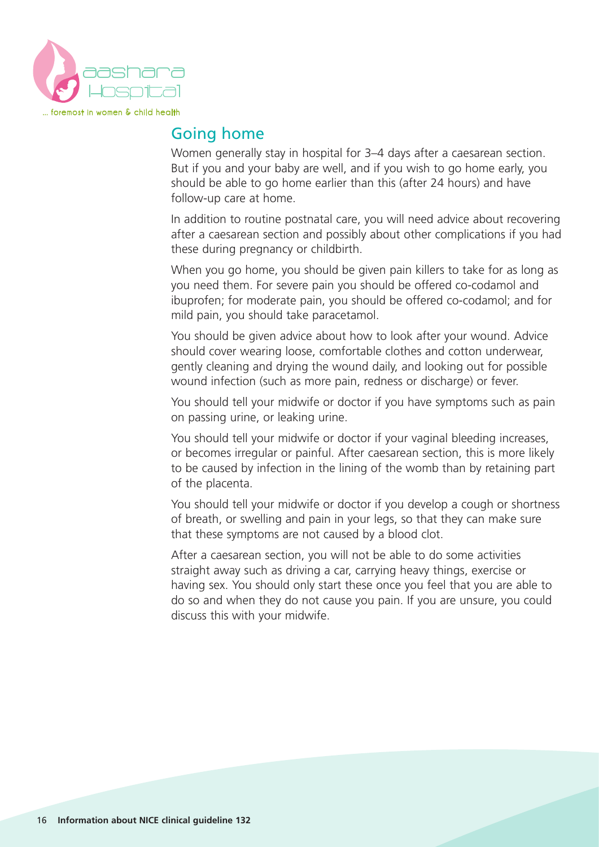

## Going home

Women generally stay in hospital for 3–4 days after a caesarean section. But if you and your baby are well, and if you wish to go home early, you should be able to go home earlier than this (after 24 hours) and have follow-up care at home.

In addition to routine postnatal care, you will need advice about recovering after a caesarean section and possibly about other complications if you had these during pregnancy or childbirth.

When you go home, you should be given pain killers to take for as long as you need them. For severe pain you should be offered co-codamol and ibuprofen; for moderate pain, you should be offered co-codamol; and for mild pain, you should take paracetamol.

You should be given advice about how to look after your wound. Advice should cover wearing loose, comfortable clothes and cotton underwear, gently cleaning and drying the wound daily, and looking out for possible wound infection (such as more pain, redness or discharge) or fever.

You should tell your midwife or doctor if you have symptoms such as pain on passing urine, or leaking urine.

You should tell your midwife or doctor if your vaginal bleeding increases, or becomes irregular or painful. After caesarean section, this is more likely to be caused by infection in the lining of the womb than by retaining part of the placenta.

You should tell your midwife or doctor if you develop a cough or shortness of breath, or swelling and pain in your legs, so that they can make sure that these symptoms are not caused by a blood clot.

After a caesarean section, you will not be able to do some activities straight away such as driving a car, carrying heavy things, exercise or having sex. You should only start these once you feel that you are able to do so and when they do not cause you pain. If you are unsure, you could discuss this with your midwife.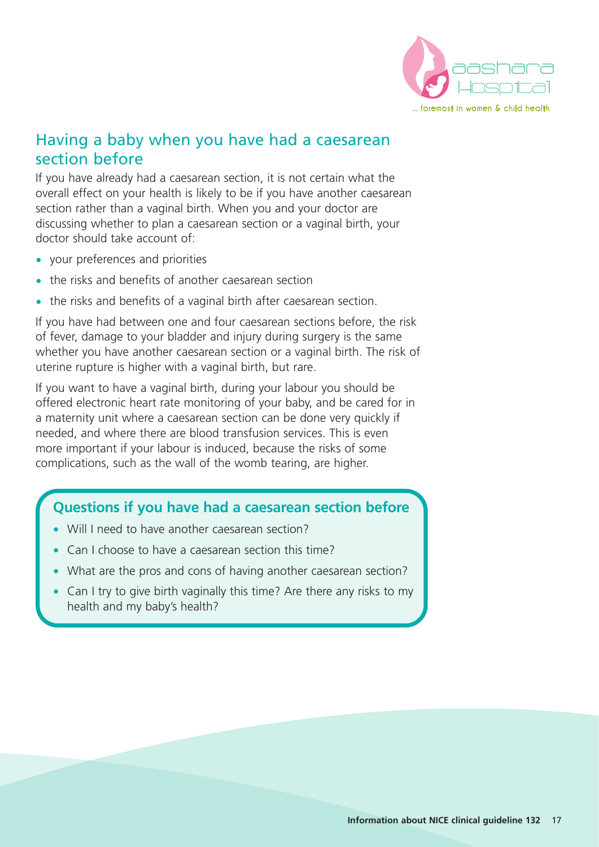

# Having a baby when you have had a caesarean section before

If you have already had a caesarean section, it is not certain what the overall effect on your health is likely to be if you have another caesarean section rather than a vaginal birth. When you and your doctor are discussing whether to plan a caesarean section or a vaginal birth, your doctor should take account of:

- your preferences and priorities
- the risks and benefits of another caesarean section
- the risks and benefits of a vaginal birth after caesarean section.

If you have had between one and four caesarean sections before, the risk of fever, damage to your bladder and injury during surgery is the same whether you have another caesarean section or a vaginal birth. The risk of uterine rupture is higher with a vaginal birth, but rare.

If you want to have a vaginal birth, during your labour you should be offered electronic heart rate monitoring of your baby, and be cared for in a maternity unit where a caesarean section can be done very quickly if needed, and where there are blood transfusion services. This is even more important if your labour is induced, because the risks of some complications, such as the wall of the womb tearing, are higher.

#### **Questions if you have had a caesarean section before**

- Will I need to have another caesarean section?
- Can I choose to have a caesarean section this time?
- What are the pros and cons of having another caesarean section?
- Can I try to give birth vaginally this time? Are there any risks to my health and my baby's health?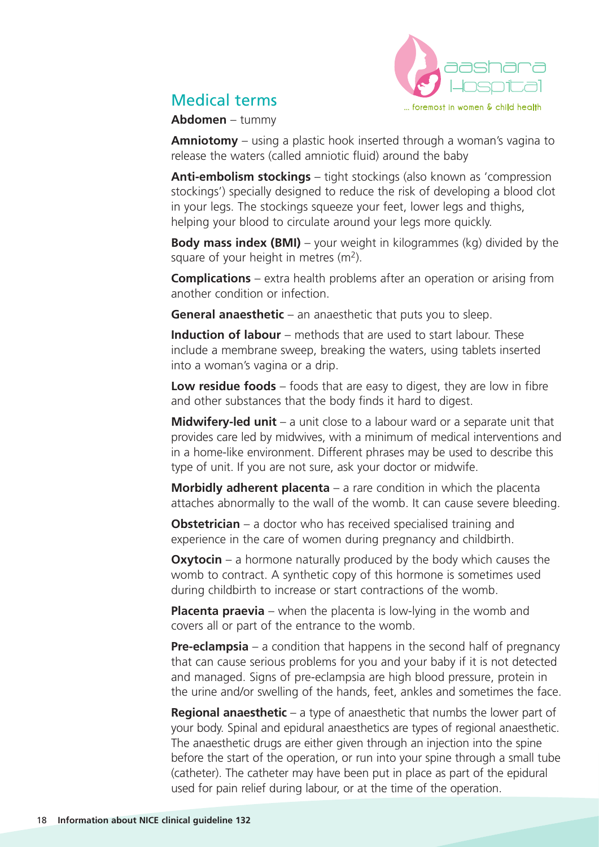# Medical terms



**Abdomen** – tummy

**Amniotomy** – using a plastic hook inserted through a woman's vagina to release the waters (called amniotic fluid) around the baby

**Anti-embolism stockings** – tight stockings (also known as 'compression stockings') specially designed to reduce the risk of developing a blood clot in your legs. The stockings squeeze your feet, lower legs and thighs, helping your blood to circulate around your legs more quickly.

**Body mass index (BMI)** – your weight in kilogrammes (kg) divided by the square of your height in metres  $(m<sup>2</sup>)$ .

**Complications** – extra health problems after an operation or arising from another condition or infection.

**General anaesthetic** – an anaesthetic that puts you to sleep.

**Induction of labour** – methods that are used to start labour. These include a membrane sweep, breaking the waters, using tablets inserted into a woman's vagina or a drip.

**Low residue foods** – foods that are easy to digest, they are low in fibre and other substances that the body finds it hard to digest.

**Midwifery-led unit** – a unit close to a labour ward or a separate unit that provides care led by midwives, with a minimum of medical interventions and in a home-like environment. Different phrases may be used to describe this type of unit. If you are not sure, ask your doctor or midwife.

**Morbidly adherent placenta** – a rare condition in which the placenta attaches abnormally to the wall of the womb. It can cause severe bleeding.

**Obstetrician** – a doctor who has received specialised training and experience in the care of women during pregnancy and childbirth.

**Oxytocin** – a hormone naturally produced by the body which causes the womb to contract. A synthetic copy of this hormone is sometimes used during childbirth to increase or start contractions of the womb.

**Placenta praevia** – when the placenta is low-lying in the womb and covers all or part of the entrance to the womb.

**Pre-eclampsia** – a condition that happens in the second half of pregnancy that can cause serious problems for you and your baby if it is not detected and managed. Signs of pre-eclampsia are high blood pressure, protein in the urine and/or swelling of the hands, feet, ankles and sometimes the face.

**Regional anaesthetic** – a type of anaesthetic that numbs the lower part of your body. Spinal and epidural anaesthetics are types of regional anaesthetic. The anaesthetic drugs are either given through an injection into the spine before the start of the operation, or run into your spine through a small tube (catheter). The catheter may have been put in place as part of the epidural used for pain relief during labour, or at the time of the operation.